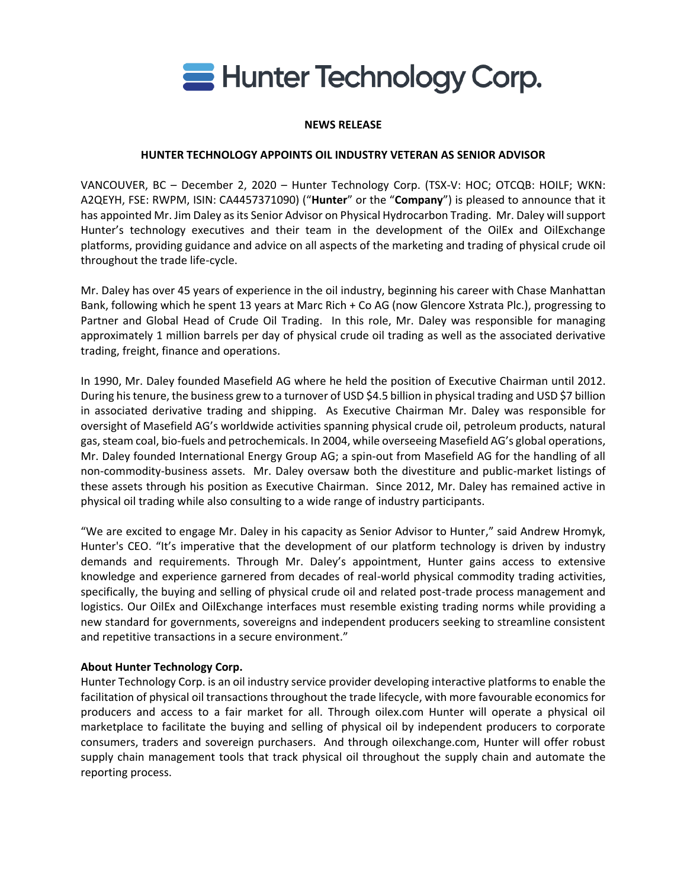

## **NEWS RELEASE**

## **HUNTER TECHNOLOGY APPOINTS OIL INDUSTRY VETERAN AS SENIOR ADVISOR**

VANCOUVER, BC – December 2, 2020 – Hunter Technology Corp. (TSX-V: HOC; OTCQB: HOILF; WKN: A2QEYH, FSE: RWPM, ISIN: CA4457371090) ("**Hunter**" or the "**Company**") is pleased to announce that it has appointed Mr. Jim Daley as its Senior Advisor on Physical Hydrocarbon Trading. Mr. Daley will support Hunter's technology executives and their team in the development of the OilEx and OilExchange platforms, providing guidance and advice on all aspects of the marketing and trading of physical crude oil throughout the trade life-cycle.

Mr. Daley has over 45 years of experience in the oil industry, beginning his career with Chase Manhattan Bank, following which he spent 13 years at Marc Rich + Co AG (now Glencore Xstrata Plc.), progressing to Partner and Global Head of Crude Oil Trading. In this role, Mr. Daley was responsible for managing approximately 1 million barrels per day of physical crude oil trading as well as the associated derivative trading, freight, finance and operations.

In 1990, Mr. Daley founded Masefield AG where he held the position of Executive Chairman until 2012. During his tenure, the business grew to a turnover of USD \$4.5 billion in physical trading and USD \$7 billion in associated derivative trading and shipping. As Executive Chairman Mr. Daley was responsible for oversight of Masefield AG's worldwide activities spanning physical crude oil, petroleum products, natural gas, steam coal, bio-fuels and petrochemicals. In 2004, while overseeing Masefield AG's global operations, Mr. Daley founded International Energy Group AG; a spin-out from Masefield AG for the handling of all non-commodity-business assets. Mr. Daley oversaw both the divestiture and public-market listings of these assets through his position as Executive Chairman. Since 2012, Mr. Daley has remained active in physical oil trading while also consulting to a wide range of industry participants.

"We are excited to engage Mr. Daley in his capacity as Senior Advisor to Hunter," said Andrew Hromyk, Hunter's CEO. "It's imperative that the development of our platform technology is driven by industry demands and requirements. Through Mr. Daley's appointment, Hunter gains access to extensive knowledge and experience garnered from decades of real-world physical commodity trading activities, specifically, the buying and selling of physical crude oil and related post-trade process management and logistics. Our OilEx and OilExchange interfaces must resemble existing trading norms while providing a new standard for governments, sovereigns and independent producers seeking to streamline consistent and repetitive transactions in a secure environment."

## **About Hunter Technology Corp.**

Hunter Technology Corp. is an oil industry service provider developing interactive platforms to enable the facilitation of physical oil transactions throughout the trade lifecycle, with more favourable economics for producers and access to a fair market for all. Through oilex.com Hunter will operate a physical oil marketplace to facilitate the buying and selling of physical oil by independent producers to corporate consumers, traders and sovereign purchasers. And through oilexchange.com, Hunter will offer robust supply chain management tools that track physical oil throughout the supply chain and automate the reporting process.